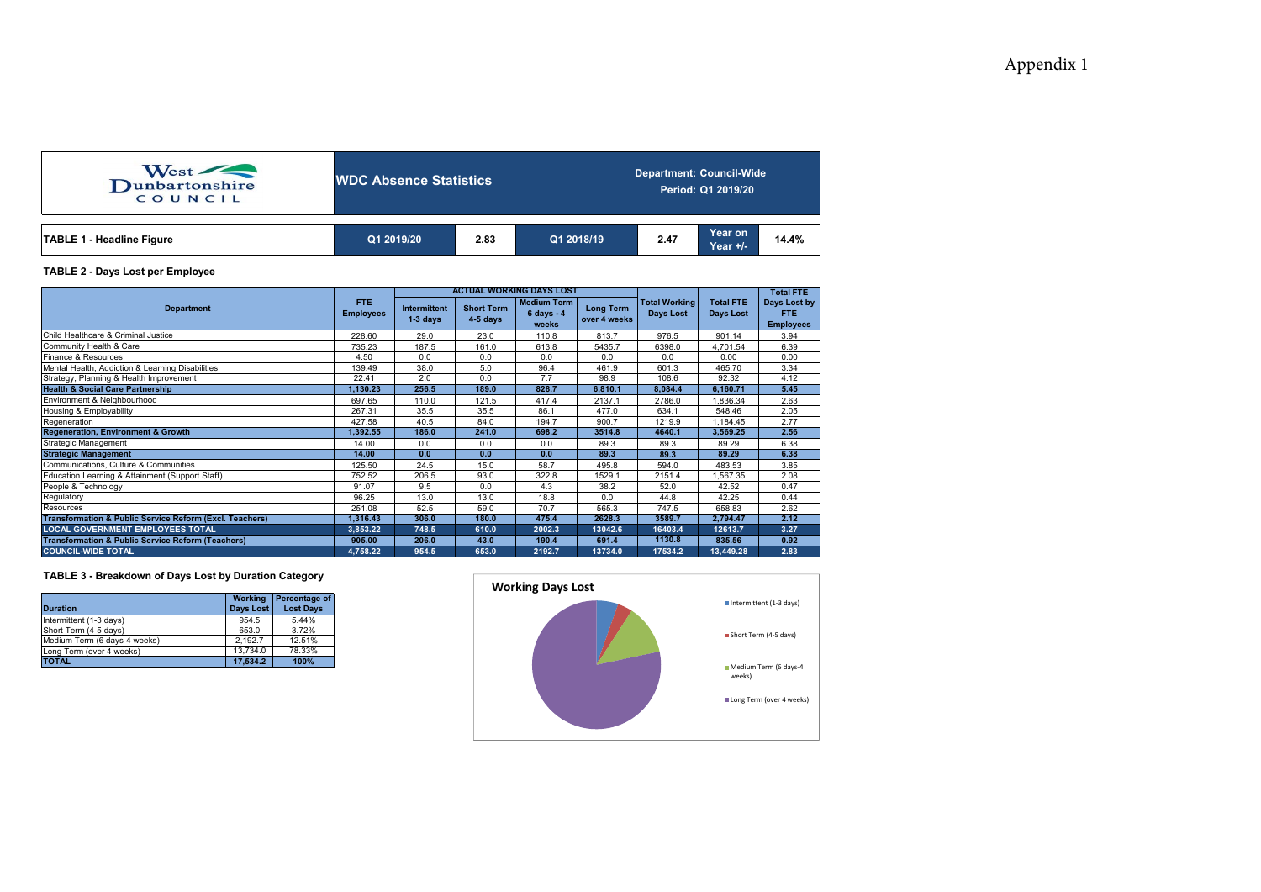| West<br>COUNCIL                  | <b>NDC Absence Statistics</b> |      |            | <b>Department: Council-Wide</b><br>Period: Q1 2019/20 |                     |       |  |  |  |
|----------------------------------|-------------------------------|------|------------|-------------------------------------------------------|---------------------|-------|--|--|--|
| <b>TABLE 1 - Headline Figure</b> | Q1 2019/20                    | 2.83 | Q1 2018/19 | 2.47                                                  | Year on<br>Year +/- | 14.4% |  |  |  |

## **TABLE 2 - Days Lost per Employee**

|                                                                    |                          |                                   |                                 | <b>ACTUAL WORKING DAYS LOST</b>                     |                                  |                                          | <b>Total FTE</b>              |                                                |
|--------------------------------------------------------------------|--------------------------|-----------------------------------|---------------------------------|-----------------------------------------------------|----------------------------------|------------------------------------------|-------------------------------|------------------------------------------------|
| <b>Department</b>                                                  | FTE.<br><b>Employees</b> | <b>Intermittent</b><br>$1-3$ days | <b>Short Term</b><br>$4-5$ days | <b>Medium Term</b><br>$6 \text{ days} - 4$<br>weeks | <b>Long Term</b><br>over 4 weeks | <b>Total Working</b><br><b>Days Lost</b> | <b>Total FTE</b><br>Days Lost | Days Lost by<br><b>FTE</b><br><b>Employees</b> |
| Child Healthcare & Criminal Justice                                | 228.60                   | 29.0                              | 23.0                            | 110.8                                               | 813.7                            | 976.5                                    | 901.14                        | 3.94                                           |
| Community Health & Care                                            | 735.23                   | 187.5                             | 161.0                           | 613.8                                               | 5435.7                           | 6398.0                                   | 4,701.54                      | 6.39                                           |
| Finance & Resources                                                | 4.50                     | 0.0                               | 0.0                             | 0.0                                                 | 0.0                              | 0.0                                      | 0.00                          | 0.00                                           |
| Mental Health, Addiction & Learning Disabilities                   | 139.49                   | 38.0                              | 5.0                             | 96.4                                                | 461.9                            | 601.3                                    | 465.70                        | 3.34                                           |
| Strategy, Planning & Health Improvement                            | 22.41                    | 2.0                               | 0.0                             | 7.7                                                 | 98.9                             | 108.6                                    | 92.32                         | 4.12                                           |
| <b>Health &amp; Social Care Partnership</b>                        | 1,130.23                 | 256.5                             | 189.0                           | 828.7                                               | 6,810.1                          | 8,084.4                                  | 6,160.71                      | 5.45                                           |
| Environment & Neighbourhood                                        | 697.65                   | 110.0                             | 121.5                           | 417.4                                               | 2137.1                           | 2786.0                                   | 1,836.34                      | 2.63                                           |
| Housing & Employability                                            | 267.31                   | 35.5                              | 35.5                            | 86.1                                                | 477.0                            | 634.1                                    | 548.46                        | 2.05                                           |
| Regeneration                                                       | 427.58                   | 40.5                              | 84.0                            | 194.7                                               | 900.7                            | 1219.9                                   | ,184.45                       | 2.77                                           |
| <b>Regeneration, Environment &amp; Growth</b>                      | 1,392.55                 | 186.0                             | 241.0                           | 698.2                                               | 3514.8                           | 4640.1                                   | 3,569.25                      | 2.56                                           |
| Strategic Management                                               | 14.00                    | 0.0                               | 0.0                             | 0.0                                                 | 89.3                             | 89.3                                     | 89.29                         | 6.38                                           |
| <b>Strategic Management</b>                                        | 14.00                    | 0.0                               | 0.0                             | 0.0                                                 | 89.3                             | 89.3                                     | 89.29                         | 6.38                                           |
| Communications, Culture & Communities                              | 125.50                   | 24.5                              | 15.0                            | 58.7                                                | 495.8                            | 594.0                                    | 483.53                        | 3.85                                           |
| Education Learning & Attainment (Support Staff)                    | 752.52                   | 206.5                             | 93.0                            | 322.8                                               | 1529.1                           | 2151.4                                   | ,567.35                       | 2.08                                           |
| People & Technology                                                | 91.07                    | 9.5                               | 0.0                             | 4.3                                                 | 38.2                             | 52.0                                     | 42.52                         | 0.47                                           |
| Regulatory                                                         | 96.25                    | 13.0                              | 13.0                            | 18.8                                                | 0.0                              | 44.8                                     | 42.25                         | 0.44                                           |
| Resources                                                          | 251.08                   | 52.5                              | 59.0                            | 70.7                                                | 565.3                            | 747.5                                    | 658.83                        | 2.62                                           |
| <b>Transformation &amp; Public Service Reform (Excl. Teachers)</b> | 1,316.43                 | 306.0                             | 180.0                           | 475.4                                               | 2628.3                           | 3589.7                                   | 2,794.47                      | 2.12                                           |
| <b>LOCAL GOVERNMENT EMPLOYEES TOTAL</b>                            | 3,853.22                 | 748.5                             | 610.0                           | 2002.3                                              | 13042.6                          | 16403.4                                  | 12613.7                       | 3.27                                           |
| <b>Transformation &amp; Public Service Reform (Teachers)</b>       | 905.00                   | 206.0                             | 43.0                            | 190.4                                               | 691.4                            | 1130.8                                   | 835.56                        | 0.92                                           |
| <b>COUNCIL-WIDE TOTAL</b>                                          | 4.758.22                 | 954.5                             | 653.0                           | 2192.7                                              | 13734.0                          | 17534.2                                  | 13.449.28                     | 2.83                                           |

## **TABLE 3 - Breakdown of Days Lost by Duration Category**

| <b>Duration</b>              | <b>Working</b><br><b>Davs Lost</b> | Percentage of<br><b>Lost Davs</b> |
|------------------------------|------------------------------------|-----------------------------------|
| Intermittent (1-3 days)      | 954.5                              | 5.44%                             |
| Short Term (4-5 days)        | 653.0                              | 3.72%                             |
| Medium Term (6 days-4 weeks) | 2.192.7                            | 12.51%                            |
| Long Term (over 4 weeks)     | 13.734.0                           | 78.33%                            |
| <b>TOTAL</b>                 | 17.534.2                           | 100%                              |